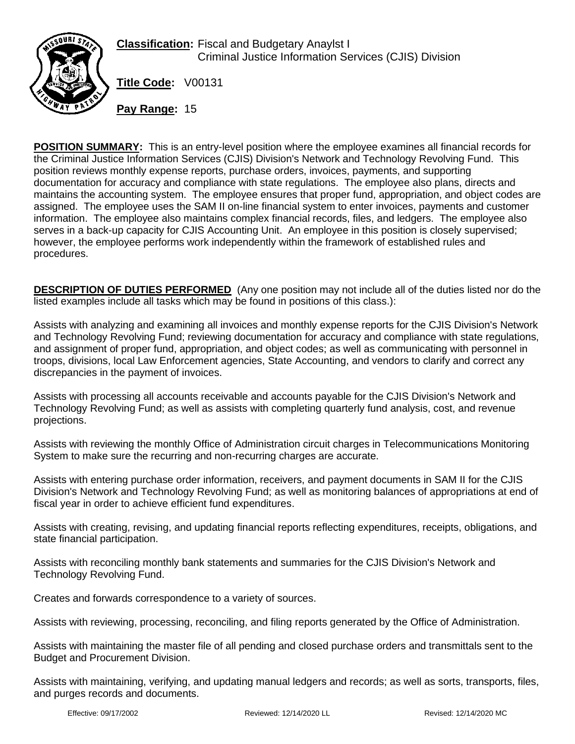

**Classification:** Fiscal and Budgetary Anaylst I Criminal Justice Information Services (CJIS) Division

**Title Code:** V00131

**Pay Range:** 15

**POSITION SUMMARY:** This is an entry-level position where the employee examines all financial records for the Criminal Justice Information Services (CJIS) Division's Network and Technology Revolving Fund. This position reviews monthly expense reports, purchase orders, invoices, payments, and supporting documentation for accuracy and compliance with state regulations. The employee also plans, directs and maintains the accounting system. The employee ensures that proper fund, appropriation, and object codes are assigned. The employee uses the SAM II on-line financial system to enter invoices, payments and customer information. The employee also maintains complex financial records, files, and ledgers. The employee also serves in a back-up capacity for CJIS Accounting Unit. An employee in this position is closely supervised; however, the employee performs work independently within the framework of established rules and procedures.

**DESCRIPTION OF DUTIES PERFORMED** (Any one position may not include all of the duties listed nor do the listed examples include all tasks which may be found in positions of this class.):

Assists with analyzing and examining all invoices and monthly expense reports for the CJIS Division's Network and Technology Revolving Fund; reviewing documentation for accuracy and compliance with state regulations, and assignment of proper fund, appropriation, and object codes; as well as communicating with personnel in troops, divisions, local Law Enforcement agencies, State Accounting, and vendors to clarify and correct any discrepancies in the payment of invoices.

Assists with processing all accounts receivable and accounts payable for the CJIS Division's Network and Technology Revolving Fund; as well as assists with completing quarterly fund analysis, cost, and revenue projections.

Assists with reviewing the monthly Office of Administration circuit charges in Telecommunications Monitoring System to make sure the recurring and non-recurring charges are accurate.

Assists with entering purchase order information, receivers, and payment documents in SAM II for the CJIS Division's Network and Technology Revolving Fund; as well as monitoring balances of appropriations at end of fiscal year in order to achieve efficient fund expenditures.

Assists with creating, revising, and updating financial reports reflecting expenditures, receipts, obligations, and state financial participation.

Assists with reconciling monthly bank statements and summaries for the CJIS Division's Network and Technology Revolving Fund.

Creates and forwards correspondence to a variety of sources.

Assists with reviewing, processing, reconciling, and filing reports generated by the Office of Administration.

Assists with maintaining the master file of all pending and closed purchase orders and transmittals sent to the Budget and Procurement Division.

Assists with maintaining, verifying, and updating manual ledgers and records; as well as sorts, transports, files, and purges records and documents.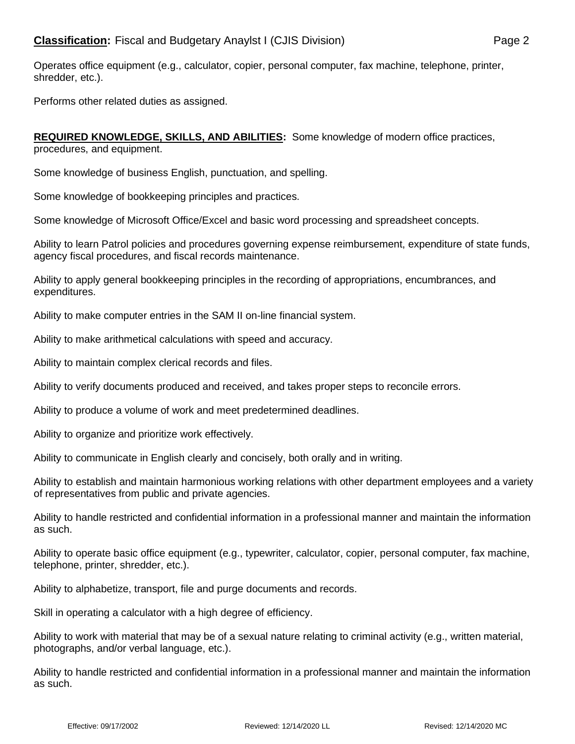Operates office equipment (e.g., calculator, copier, personal computer, fax machine, telephone, printer, shredder, etc.).

Performs other related duties as assigned.

**REQUIRED KNOWLEDGE, SKILLS, AND ABILITIES:** Some knowledge of modern office practices, procedures, and equipment.

Some knowledge of business English, punctuation, and spelling.

Some knowledge of bookkeeping principles and practices.

Some knowledge of Microsoft Office/Excel and basic word processing and spreadsheet concepts.

Ability to learn Patrol policies and procedures governing expense reimbursement, expenditure of state funds, agency fiscal procedures, and fiscal records maintenance.

Ability to apply general bookkeeping principles in the recording of appropriations, encumbrances, and expenditures.

Ability to make computer entries in the SAM II on-line financial system.

Ability to make arithmetical calculations with speed and accuracy.

Ability to maintain complex clerical records and files.

Ability to verify documents produced and received, and takes proper steps to reconcile errors.

Ability to produce a volume of work and meet predetermined deadlines.

Ability to organize and prioritize work effectively.

Ability to communicate in English clearly and concisely, both orally and in writing.

Ability to establish and maintain harmonious working relations with other department employees and a variety of representatives from public and private agencies.

Ability to handle restricted and confidential information in a professional manner and maintain the information as such.

Ability to operate basic office equipment (e.g., typewriter, calculator, copier, personal computer, fax machine, telephone, printer, shredder, etc.).

Ability to alphabetize, transport, file and purge documents and records.

Skill in operating a calculator with a high degree of efficiency.

Ability to work with material that may be of a sexual nature relating to criminal activity (e.g., written material, photographs, and/or verbal language, etc.).

Ability to handle restricted and confidential information in a professional manner and maintain the information as such.